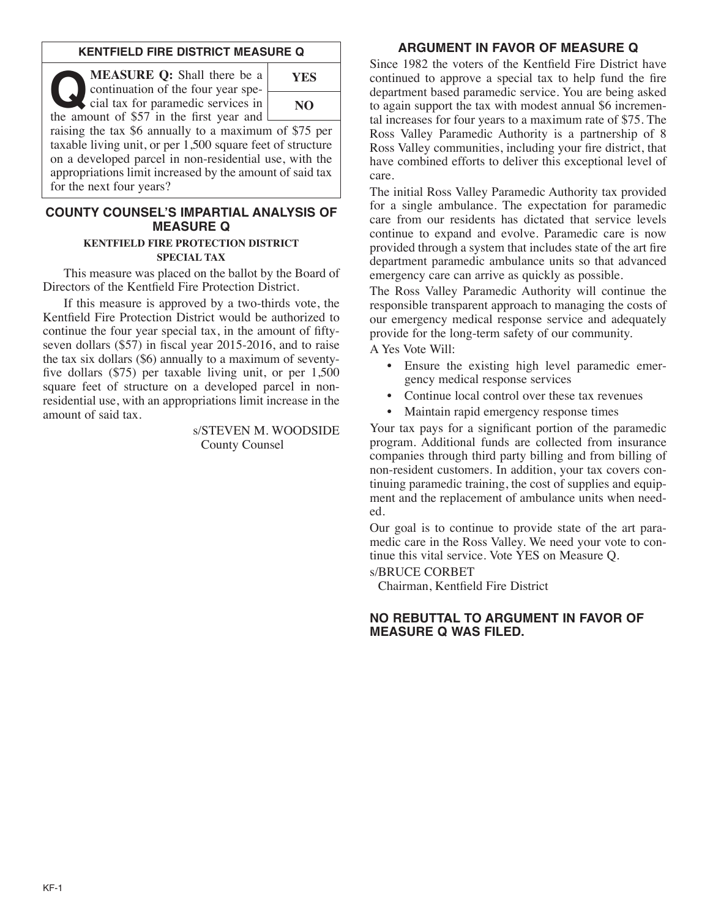### **KENTFIELD FIRE DISTRICT MEASURE Q**

**Q:** Shall there be a<br>continuation of the four year spe-<br>cial tax for paramedic services in<br>the amount of \$57 in the first year and continuation of the four year special tax for paramedic services in the amount of \$57 in the first year and

**YES NO**

raising the tax \$6 annually to a maximum of \$75 per taxable living unit, or per 1,500 square feet of structure on a developed parcel in non-residential use, with the appropriations limit increased by the amount of said tax for the next four years?

#### **COUNTY COUNSEL'S IMPARTIAL ANALYSIS OF MEASURE Q**

#### **KENTFIELD FIRE PROTECTION DISTRICT SPECIAL TAX**

This measure was placed on the ballot by the Board of Directors of the Kentfield Fire Protection District.

If this measure is approved by a two-thirds vote, the Kentfield Fire Protection District would be authorized to continue the four year special tax, in the amount of fiftyseven dollars (\$57) in fiscal year 2015-2016, and to raise the tax six dollars (\$6) annually to a maximum of seventyfive dollars (\$75) per taxable living unit, or per 1,500 square feet of structure on a developed parcel in nonresidential use, with an appropriations limit increase in the amount of said tax.

> s/STEVEN M. WOODSIDE County Counsel

### **ARGUMENT IN FAVOR OF MEASURE Q**

Since 1982 the voters of the Kentfield Fire District have continued to approve a special tax to help fund the fire department based paramedic service. You are being asked to again support the tax with modest annual \$6 incremental increases for four years to a maximum rate of \$75. The Ross Valley Paramedic Authority is a partnership of 8 Ross Valley communities, including your fire district, that have combined efforts to deliver this exceptional level of care.

The initial Ross Valley Paramedic Authority tax provided for a single ambulance. The expectation for paramedic care from our residents has dictated that service levels continue to expand and evolve. Paramedic care is now provided through a system that includes state of the art fire department paramedic ambulance units so that advanced emergency care can arrive as quickly as possible.

The Ross Valley Paramedic Authority will continue the responsible transparent approach to managing the costs of our emergency medical response service and adequately provide for the long-term safety of our community.

A Yes Vote Will:

- Ensure the existing high level paramedic emergency medical response services
- Continue local control over these tax revenues
- Maintain rapid emergency response times

Your tax pays for a significant portion of the paramedic program. Additional funds are collected from insurance companies through third party billing and from billing of non-resident customers. In addition, your tax covers continuing paramedic training, the cost of supplies and equipment and the replacement of ambulance units when needed.

Our goal is to continue to provide state of the art paramedic care in the Ross Valley. We need your vote to continue this vital service. Vote YES on Measure Q.

#### s/BRUCE CORBET

Chairman, Kentfield Fire District

### **NO REBUTTAL TO ARGUMENT IN FAVOR OF MEASURE Q WAS FILED.**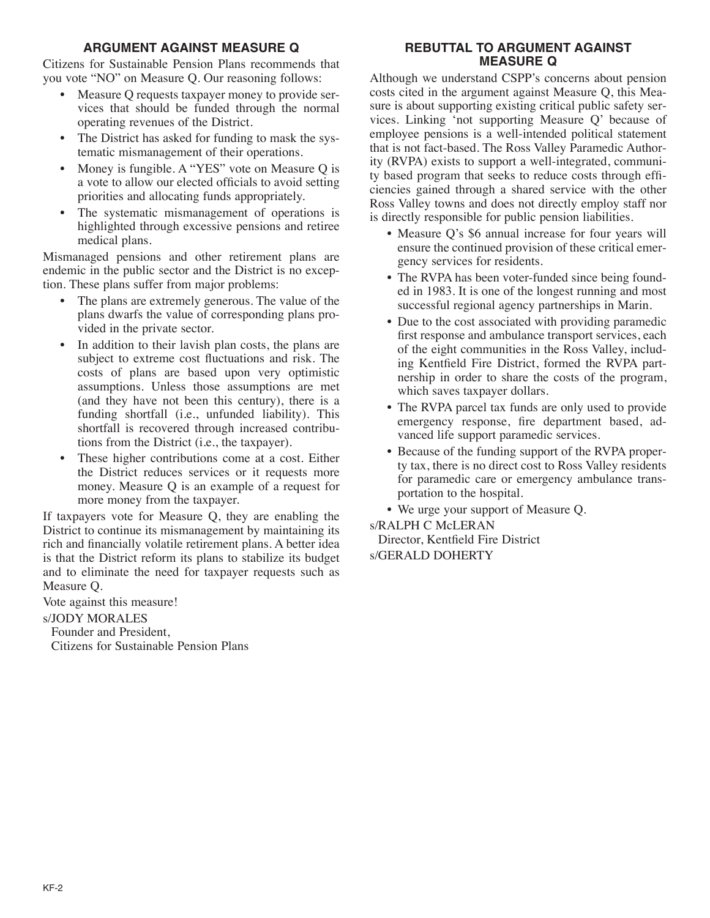## **ARGUMENT AGAINST MEASURE Q**

Citizens for Sustainable Pension Plans recommends that you vote "NO" on Measure Q. Our reasoning follows:

- Measure O requests taxpayer money to provide services that should be funded through the normal operating revenues of the District.
- The District has asked for funding to mask the systematic mismanagement of their operations.
- Money is fungible. A "YES" vote on Measure Q is a vote to allow our elected officials to avoid setting priorities and allocating funds appropriately.
- The systematic mismanagement of operations is highlighted through excessive pensions and retiree medical plans.

Mismanaged pensions and other retirement plans are endemic in the public sector and the District is no exception. These plans suffer from major problems:

- The plans are extremely generous. The value of the plans dwarfs the value of corresponding plans provided in the private sector.
- In addition to their lavish plan costs, the plans are subject to extreme cost fluctuations and risk. The costs of plans are based upon very optimistic assumptions. Unless those assumptions are met (and they have not been this century), there is a funding shortfall (i.e., unfunded liability). This shortfall is recovered through increased contributions from the District (i.e., the taxpayer).
- These higher contributions come at a cost. Either the District reduces services or it requests more money. Measure Q is an example of a request for more money from the taxpayer.

If taxpayers vote for Measure Q, they are enabling the District to continue its mismanagement by maintaining its rich and financially volatile retirement plans. A better idea is that the District reform its plans to stabilize its budget and to eliminate the need for taxpayer requests such as Measure Q.

Vote against this measure!

## s/JODY MORALES

Founder and President, Citizens for Sustainable Pension Plans

# **REBUTTAL TO ARGUMENT AGAINST MEASURE Q**

Although we understand CSPP's concerns about pension costs cited in the argument against Measure Q, this Measure is about supporting existing critical public safety services. Linking 'not supporting Measure Q' because of employee pensions is a well-intended political statement that is not fact-based. The Ross Valley Paramedic Authority (RVPA) exists to support a well-integrated, community based program that seeks to reduce costs through efficiencies gained through a shared service with the other Ross Valley towns and does not directly employ staff nor is directly responsible for public pension liabilities.

- Measure Q's \$6 annual increase for four years will ensure the continued provision of these critical emergency services for residents.
- The RVPA has been voter-funded since being founded in 1983. It is one of the longest running and most successful regional agency partnerships in Marin.
- Due to the cost associated with providing paramedic first response and ambulance transport services, each of the eight communities in the Ross Valley, including Kentfield Fire District, formed the RVPA partnership in order to share the costs of the program, which saves taxpayer dollars.
- The RVPA parcel tax funds are only used to provide emergency response, fire department based, advanced life support paramedic services.
- Because of the funding support of the RVPA property tax, there is no direct cost to Ross Valley residents for paramedic care or emergency ambulance transportation to the hospital.
- We urge your support of Measure Q.

s/RALPH C McLERAN Director, Kentfield Fire District s/GERALD DOHERTY